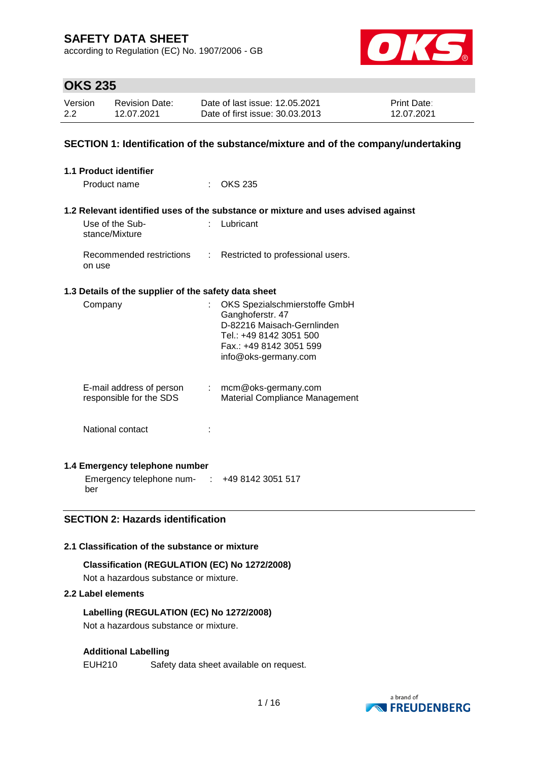according to Regulation (EC) No. 1907/2006 - GB



## **OKS 235**

| Version | <b>Revision Date:</b> | Date of last issue: 12.05.2021  | <b>Print Date:</b> |
|---------|-----------------------|---------------------------------|--------------------|
| 2.2     | 12.07.2021            | Date of first issue: 30.03.2013 | 12.07.2021         |

#### **SECTION 1: Identification of the substance/mixture and of the company/undertaking**

| 1.1 Product identifier                               |                                                                                                                                                               |
|------------------------------------------------------|---------------------------------------------------------------------------------------------------------------------------------------------------------------|
| Product name                                         | <b>OKS 235</b>                                                                                                                                                |
|                                                      |                                                                                                                                                               |
|                                                      | 1.2 Relevant identified uses of the substance or mixture and uses advised against                                                                             |
| Use of the Sub-<br>stance/Mixture                    | Lubricant                                                                                                                                                     |
| Recommended restrictions<br>t.<br>on use             | Restricted to professional users.                                                                                                                             |
| 1.3 Details of the supplier of the safety data sheet |                                                                                                                                                               |
| Company                                              | OKS Spezialschmierstoffe GmbH<br>Ganghoferstr. 47<br>D-82216 Maisach-Gernlinden<br>Tel.: +49 8142 3051 500<br>Fax.: +49 8142 3051 599<br>info@oks-germany.com |
| E-mail address of person<br>responsible for the SDS  | $:$ mcm@oks-germany.com<br>Material Compliance Management                                                                                                     |
| National contact                                     |                                                                                                                                                               |
| 1.4 Emergency telephone number                       |                                                                                                                                                               |

Emergency telephone num-: +49 8142 3051 517 ber

### **SECTION 2: Hazards identification**

#### **2.1 Classification of the substance or mixture**

#### **Classification (REGULATION (EC) No 1272/2008)**

Not a hazardous substance or mixture.

#### **2.2 Label elements**

#### **Labelling (REGULATION (EC) No 1272/2008)**

Not a hazardous substance or mixture.

#### **Additional Labelling**

EUH210 Safety data sheet available on request.

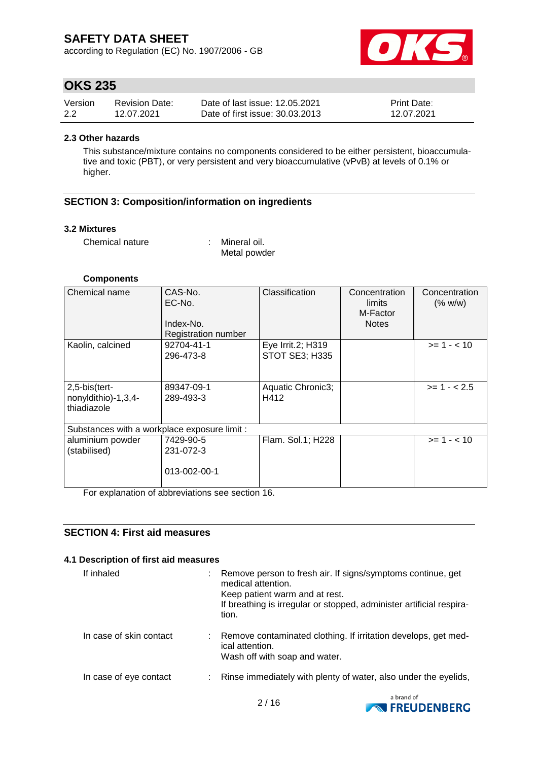according to Regulation (EC) No. 1907/2006 - GB



## **OKS 235**

| Version | <b>Revision Date:</b> | Date of last issue: 12.05.2021  | <b>Print Date:</b> |
|---------|-----------------------|---------------------------------|--------------------|
| 2.2     | 12.07.2021            | Date of first issue: 30.03.2013 | 12.07.2021         |

#### **2.3 Other hazards**

This substance/mixture contains no components considered to be either persistent, bioaccumulative and toxic (PBT), or very persistent and very bioaccumulative (vPvB) at levels of 0.1% or higher.

#### **SECTION 3: Composition/information on ingredients**

#### **3.2 Mixtures**

Chemical nature : Mineral oil.

Metal powder

#### **Components**

| Chemical name                                       | CAS-No.<br>EC-No.<br>Index-No.<br><b>Registration number</b> | Classification                             | Concentration<br>limits<br>M-Factor<br><b>Notes</b> | Concentration<br>(% w/w) |
|-----------------------------------------------------|--------------------------------------------------------------|--------------------------------------------|-----------------------------------------------------|--------------------------|
| Kaolin, calcined                                    | 92704-41-1<br>296-473-8                                      | Eye Irrit.2; H319<br><b>STOT SE3; H335</b> |                                                     | $>= 1 - 10$              |
| 2,5-bis(tert-<br>nonyldithio)-1,3,4-<br>thiadiazole | 89347-09-1<br>289-493-3                                      | Aquatic Chronic3;<br>H412                  |                                                     | $>= 1 - 2.5$             |
| Substances with a workplace exposure limit :        |                                                              |                                            |                                                     |                          |
| aluminium powder<br>(stabilised)                    | 7429-90-5<br>231-072-3<br>013-002-00-1                       | Flam. Sol.1; H228                          |                                                     | $>= 1 - < 10$            |

For explanation of abbreviations see section 16.

### **SECTION 4: First aid measures**

#### **4.1 Description of first aid measures**

| If inhaled              | Remove person to fresh air. If signs/symptoms continue, get<br>medical attention.<br>Keep patient warm and at rest.<br>If breathing is irregular or stopped, administer artificial respira-<br>tion. |
|-------------------------|------------------------------------------------------------------------------------------------------------------------------------------------------------------------------------------------------|
| In case of skin contact | Remove contaminated clothing. If irritation develops, get med-<br>ical attention.<br>Wash off with soap and water.                                                                                   |
| In case of eye contact  | Rinse immediately with plenty of water, also under the eyelids,                                                                                                                                      |

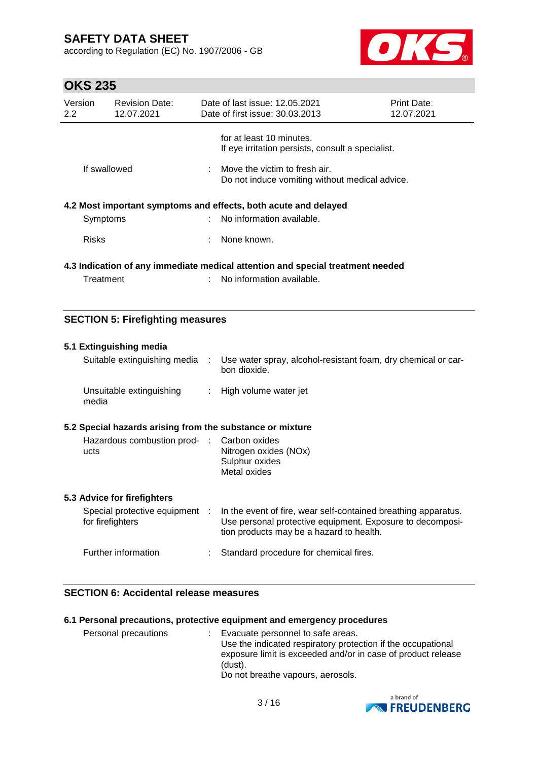according to Regulation (EC) No. 1907/2006 - GB



# **OKS 235**

| Version<br>$2.2^{\circ}$                                                       | <b>Revision Date:</b><br>12.07.2021 |  | Date of last issue: 12.05.2021<br>Date of first issue: 30.03.2013                            | Print Date:<br>12.07.2021 |  |  |
|--------------------------------------------------------------------------------|-------------------------------------|--|----------------------------------------------------------------------------------------------|---------------------------|--|--|
|                                                                                |                                     |  | for at least 10 minutes.<br>If eye irritation persists, consult a specialist.                |                           |  |  |
| If swallowed                                                                   |                                     |  | $\therefore$ Move the victim to fresh air.<br>Do not induce vomiting without medical advice. |                           |  |  |
|                                                                                |                                     |  | 4.2 Most important symptoms and effects, both acute and delayed                              |                           |  |  |
| Symptoms                                                                       |                                     |  | No information available.                                                                    |                           |  |  |
| <b>Risks</b>                                                                   |                                     |  | None known.                                                                                  |                           |  |  |
| 4.3 Indication of any immediate medical attention and special treatment needed |                                     |  |                                                                                              |                           |  |  |
| Treatment                                                                      |                                     |  | No information available.                                                                    |                           |  |  |

#### **SECTION 5: Firefighting measures**

| 5.1 Extinguishing media                                   |   |                                                                                                                                                                         |  |  |  |
|-----------------------------------------------------------|---|-------------------------------------------------------------------------------------------------------------------------------------------------------------------------|--|--|--|
| Suitable extinguishing media                              | ÷ | Use water spray, alcohol-resistant foam, dry chemical or car-<br>bon dioxide.                                                                                           |  |  |  |
| Unsuitable extinguishing<br>media                         |   | : High volume water jet                                                                                                                                                 |  |  |  |
| 5.2 Special hazards arising from the substance or mixture |   |                                                                                                                                                                         |  |  |  |
| Hazardous combustion prod- : Carbon oxides<br>ucts        |   | Nitrogen oxides (NOx)<br>Sulphur oxides<br>Metal oxides                                                                                                                 |  |  |  |
| 5.3 Advice for firefighters                               |   |                                                                                                                                                                         |  |  |  |
| Special protective equipment :<br>for firefighters        |   | In the event of fire, wear self-contained breathing apparatus.<br>Use personal protective equipment. Exposure to decomposi-<br>tion products may be a hazard to health. |  |  |  |
| Further information                                       |   | Standard procedure for chemical fires.                                                                                                                                  |  |  |  |

### **SECTION 6: Accidental release measures**

#### **6.1 Personal precautions, protective equipment and emergency procedures**

Personal precautions : Evacuate personnel to safe areas. Use the indicated respiratory protection if the occupational exposure limit is exceeded and/or in case of product release (dust). Do not breathe vapours, aerosols.

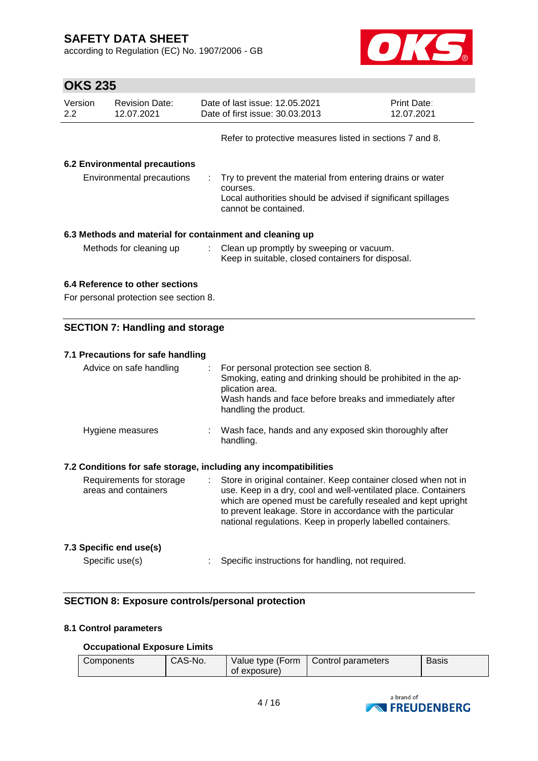according to Regulation (EC) No. 1907/2006 - GB



# **OKS 235**

| Version<br>2.2                         | <b>Revision Date:</b><br>12.07.2021    |  | Date of last issue: 12.05.2021<br>Date of first issue: 30.03.2013                                                                                             | Print Date:<br>12.07.2021 |  |  |
|----------------------------------------|----------------------------------------|--|---------------------------------------------------------------------------------------------------------------------------------------------------------------|---------------------------|--|--|
|                                        |                                        |  | Refer to protective measures listed in sections 7 and 8.                                                                                                      |                           |  |  |
|                                        | <b>6.2 Environmental precautions</b>   |  |                                                                                                                                                               |                           |  |  |
|                                        | Environmental precautions              |  | Try to prevent the material from entering drains or water<br>courses.<br>Local authorities should be advised if significant spillages<br>cannot be contained. |                           |  |  |
|                                        |                                        |  | 6.3 Methods and material for containment and cleaning up                                                                                                      |                           |  |  |
|                                        | Methods for cleaning up                |  | : Clean up promptly by sweeping or vacuum.<br>Keep in suitable, closed containers for disposal.                                                               |                           |  |  |
|                                        | 6.4 Reference to other sections        |  |                                                                                                                                                               |                           |  |  |
|                                        | For personal protection see section 8. |  |                                                                                                                                                               |                           |  |  |
| <b>SECTION 7: Handling and storage</b> |                                        |  |                                                                                                                                                               |                           |  |  |

| 7.1 Precautions for safe handling                                |                                                                                                                                                                                                                                                                                                                                  |
|------------------------------------------------------------------|----------------------------------------------------------------------------------------------------------------------------------------------------------------------------------------------------------------------------------------------------------------------------------------------------------------------------------|
| Advice on safe handling                                          | $\therefore$ For personal protection see section 8.<br>Smoking, eating and drinking should be prohibited in the ap-<br>plication area.<br>Wash hands and face before breaks and immediately after<br>handling the product.                                                                                                       |
| Hygiene measures                                                 | : Wash face, hands and any exposed skin thoroughly after<br>handling.                                                                                                                                                                                                                                                            |
| 7.2 Conditions for safe storage, including any incompatibilities |                                                                                                                                                                                                                                                                                                                                  |
| Requirements for storage<br>areas and containers                 | : Store in original container. Keep container closed when not in<br>use. Keep in a dry, cool and well-ventilated place. Containers<br>which are opened must be carefully resealed and kept upright<br>to prevent leakage. Store in accordance with the particular<br>national regulations. Keep in properly labelled containers. |
| 7.3 Specific end use(s)                                          |                                                                                                                                                                                                                                                                                                                                  |
| Specific use(s)                                                  | Specific instructions for handling, not required.                                                                                                                                                                                                                                                                                |

### **SECTION 8: Exposure controls/personal protection**

#### **8.1 Control parameters**

#### **Occupational Exposure Limits**

| Components | CAS-No. | Value type (Form<br>of exposure) | Control parameters | <b>Basis</b> |
|------------|---------|----------------------------------|--------------------|--------------|
|            |         |                                  |                    |              |

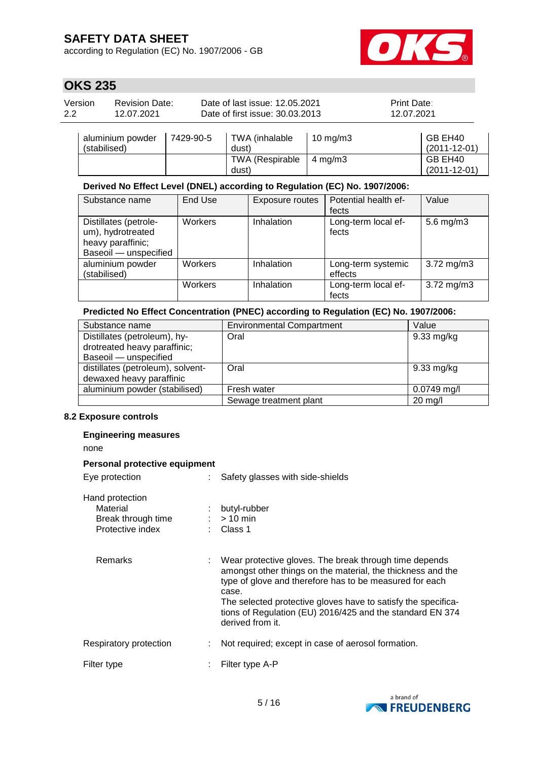according to Regulation (EC) No. 1907/2006 - GB



# **OKS 235**

| Version | <b>Revision Date:</b> | Date of last issue: 12.05.2021  | <b>Print Date:</b> |
|---------|-----------------------|---------------------------------|--------------------|
| 2.2     | 12.07.2021            | Date of first issue: 30.03.2013 | 12.07.2021         |

| aluminium powder<br>(stabilised) | 7429-90-5 | TWA (inhalable<br>dust) | 10 mg/m $3$        | GB EH40<br>$(2011 - 12 - 01)$ |
|----------------------------------|-----------|-------------------------|--------------------|-------------------------------|
|                                  |           | TWA (Respirable         | $4 \text{ ma/m}$ 3 | GB EH40                       |
|                                  |           | dust)                   |                    | $(2011 - 12 - 01)$            |

### **Derived No Effect Level (DNEL) according to Regulation (EC) No. 1907/2006:**

| Substance name                                                                           | End Use | Exposure routes | Potential health ef-<br>fects | Value                   |
|------------------------------------------------------------------------------------------|---------|-----------------|-------------------------------|-------------------------|
| Distillates (petrole-<br>um), hydrotreated<br>heavy paraffinic;<br>Baseoil - unspecified | Workers | Inhalation      | Long-term local ef-<br>fects  | 5.6 mg/m $3$            |
| aluminium powder<br>(stabilised)                                                         | Workers | Inhalation      | Long-term systemic<br>effects | $3.72 \,\mathrm{mg/m3}$ |
|                                                                                          | Workers | Inhalation      | Long-term local ef-<br>fects  | $3.72 \,\mathrm{mg/m3}$ |

#### **Predicted No Effect Concentration (PNEC) according to Regulation (EC) No. 1907/2006:**

| Substance name                    | <b>Environmental Compartment</b> | Value                |
|-----------------------------------|----------------------------------|----------------------|
| Distillates (petroleum), hy-      | Oral                             | $9.33 \text{ mg/kg}$ |
| drotreated heavy paraffinic;      |                                  |                      |
| Baseoil - unspecified             |                                  |                      |
| distillates (petroleum), solvent- | Oral                             | $9.33 \text{ mg/kg}$ |
| dewaxed heavy paraffinic          |                                  |                      |
| aluminium powder (stabilised)     | Fresh water                      | $0.0749$ mg/l        |
|                                   | Sewage treatment plant           | $20$ mg/l            |

#### **8.2 Exposure controls**

#### **Engineering measures**

none

#### **Personal protective equipment**

| Eye protection                                                        | Safety glasses with side-shields                                                                                                                                                                                                                                                                                                            |
|-----------------------------------------------------------------------|---------------------------------------------------------------------------------------------------------------------------------------------------------------------------------------------------------------------------------------------------------------------------------------------------------------------------------------------|
| Hand protection<br>Material<br>Break through time<br>Protective index | butyl-rubber<br>$:$ > 10 min<br>$\therefore$ Class 1                                                                                                                                                                                                                                                                                        |
| Remarks                                                               | Wear protective gloves. The break through time depends<br>amongst other things on the material, the thickness and the<br>type of glove and therefore has to be measured for each<br>case.<br>The selected protective gloves have to satisfy the specifica-<br>tions of Regulation (EU) 2016/425 and the standard EN 374<br>derived from it. |
| Respiratory protection                                                | Not required; except in case of aerosol formation.                                                                                                                                                                                                                                                                                          |
| Filter type                                                           | Filter type A-P                                                                                                                                                                                                                                                                                                                             |

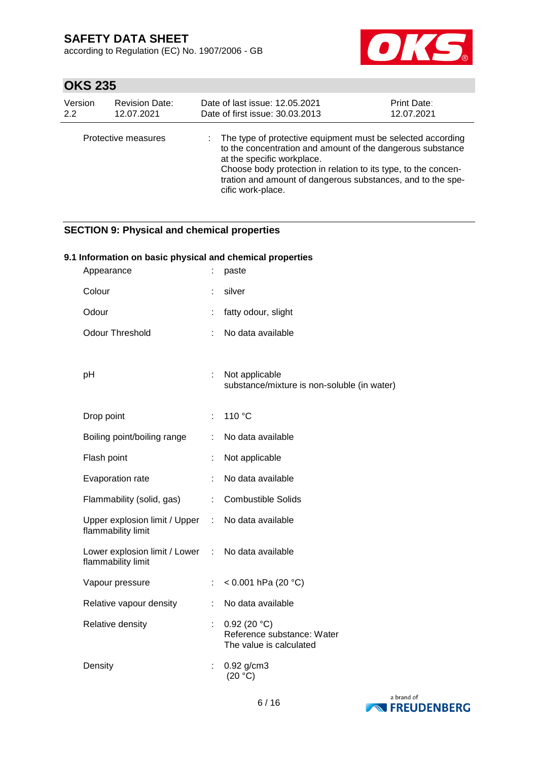according to Regulation (EC) No. 1907/2006 - GB



# **OKS 235**

| Version | <b>Revision Date:</b> | Date of last issue: 12.05.2021                                                                                                                                                                                                                                                                                | <b>Print Date:</b> |
|---------|-----------------------|---------------------------------------------------------------------------------------------------------------------------------------------------------------------------------------------------------------------------------------------------------------------------------------------------------------|--------------------|
| 2.2     | 12.07.2021            | Date of first issue: 30.03.2013                                                                                                                                                                                                                                                                               | 12.07.2021         |
|         | Protective measures   | The type of protective equipment must be selected according<br>to the concentration and amount of the dangerous substance<br>at the specific workplace.<br>Choose body protection in relation to its type, to the concen-<br>tration and amount of dangerous substances, and to the spe-<br>cific work-place. |                    |

### **SECTION 9: Physical and chemical properties**

#### **9.1 Information on basic physical and chemical properties**

| Appearance                                            |    | paste                                                                |
|-------------------------------------------------------|----|----------------------------------------------------------------------|
| Colour                                                | t. | silver                                                               |
| Odour                                                 | t, | fatty odour, slight                                                  |
| <b>Odour Threshold</b>                                | ÷  | No data available                                                    |
|                                                       |    |                                                                      |
| рH                                                    | ÷. | Not applicable<br>substance/mixture is non-soluble (in water)        |
| Drop point                                            | ÷. | 110 °C                                                               |
| Boiling point/boiling range                           | ÷. | No data available                                                    |
| Flash point                                           | t, | Not applicable                                                       |
| Evaporation rate                                      |    | No data available                                                    |
| Flammability (solid, gas)                             | ÷  | <b>Combustible Solids</b>                                            |
| Upper explosion limit / Upper :<br>flammability limit |    | No data available                                                    |
| Lower explosion limit / Lower :<br>flammability limit |    | No data available                                                    |
| Vapour pressure                                       | ÷  | < $0.001$ hPa (20 °C)                                                |
| Relative vapour density                               | ÷  | No data available                                                    |
| Relative density                                      |    | 0.92(20 °C)<br>Reference substance: Water<br>The value is calculated |
| Density                                               | ÷  | $0.92$ g/cm3<br>(20 °C)                                              |

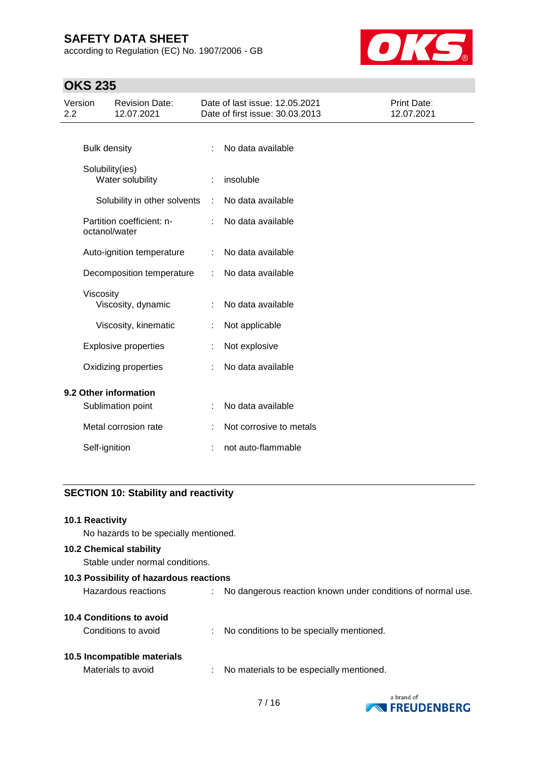according to Regulation (EC) No. 1907/2006 - GB



# **OKS 235**

| Version<br>2.2 |                     | <b>Revision Date:</b><br>12.07.2021 |   | Date of last issue: 12.05.2021<br>Date of first issue: 30.03.2013 | Print Date:<br>12.07.2021 |
|----------------|---------------------|-------------------------------------|---|-------------------------------------------------------------------|---------------------------|
|                |                     |                                     |   |                                                                   |                           |
|                | <b>Bulk density</b> |                                     | ÷ | No data available                                                 |                           |
|                | Solubility(ies)     | Water solubility                    |   | insoluble                                                         |                           |
|                |                     | Solubility in other solvents        | ÷ | No data available                                                 |                           |
|                | octanol/water       | Partition coefficient: n-           | ÷ | No data available                                                 |                           |
|                |                     | Auto-ignition temperature           |   | No data available                                                 |                           |
|                |                     | Decomposition temperature           |   | No data available                                                 |                           |
|                | Viscosity           | Viscosity, dynamic                  |   | No data available                                                 |                           |
|                |                     | Viscosity, kinematic                | ÷ | Not applicable                                                    |                           |
|                |                     | <b>Explosive properties</b>         |   | Not explosive                                                     |                           |
|                |                     | Oxidizing properties                |   | No data available                                                 |                           |
|                |                     | 9.2 Other information               |   |                                                                   |                           |
|                |                     | Sublimation point                   |   | No data available                                                 |                           |
|                |                     | Metal corrosion rate                |   | Not corrosive to metals                                           |                           |
|                | Self-ignition       |                                     |   | not auto-flammable                                                |                           |

### **SECTION 10: Stability and reactivity**

| 10.1 Reactivity                         |                                                               |
|-----------------------------------------|---------------------------------------------------------------|
| No hazards to be specially mentioned.   |                                                               |
| <b>10.2 Chemical stability</b>          |                                                               |
| Stable under normal conditions.         |                                                               |
| 10.3 Possibility of hazardous reactions |                                                               |
| Hazardous reactions                     | : No dangerous reaction known under conditions of normal use. |
| <b>10.4 Conditions to avoid</b>         |                                                               |
| Conditions to avoid                     | : No conditions to be specially mentioned.                    |
| 10.5 Incompatible materials             |                                                               |
| Materials to avoid                      | : No materials to be especially mentioned.                    |

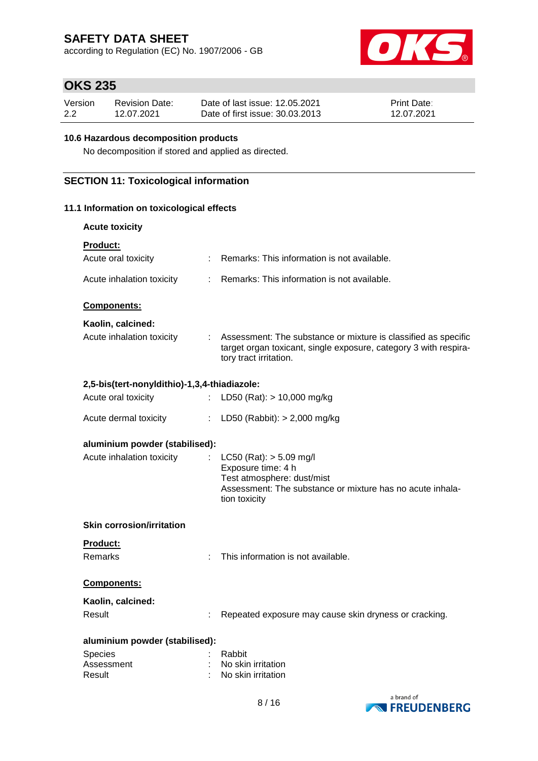according to Regulation (EC) No. 1907/2006 - GB



# **OKS 235**

| Version | <b>Revision Date:</b> | Date of last issue: 12.05.2021  | <b>Print Date:</b> |
|---------|-----------------------|---------------------------------|--------------------|
| 2.2     | 12.07.2021            | Date of first issue: 30.03.2013 | 12.07.2021         |

#### **10.6 Hazardous decomposition products**

No decomposition if stored and applied as directed.

### **SECTION 11: Toxicological information**

#### **11.1 Information on toxicological effects**

| <b>Acute toxicity</b>                        |                |                                                                                                                                                                |
|----------------------------------------------|----------------|----------------------------------------------------------------------------------------------------------------------------------------------------------------|
| <b>Product:</b>                              |                |                                                                                                                                                                |
| Acute oral toxicity                          | $\mathbb{R}^n$ | Remarks: This information is not available.                                                                                                                    |
| Acute inhalation toxicity                    | $\mathbb{R}^n$ | Remarks: This information is not available.                                                                                                                    |
| Components:                                  |                |                                                                                                                                                                |
| Kaolin, calcined:                            |                |                                                                                                                                                                |
| Acute inhalation toxicity                    |                | : Assessment: The substance or mixture is classified as specific<br>target organ toxicant, single exposure, category 3 with respira-<br>tory tract irritation. |
| 2,5-bis(tert-nonyldithio)-1,3,4-thiadiazole: |                |                                                                                                                                                                |
| Acute oral toxicity                          | $\mathbb{R}^n$ | LD50 (Rat): $> 10,000$ mg/kg                                                                                                                                   |
| Acute dermal toxicity                        | ÷.             | LD50 (Rabbit): $> 2,000$ mg/kg                                                                                                                                 |
| aluminium powder (stabilised):               |                |                                                                                                                                                                |
| Acute inhalation toxicity                    | t.             | $LC50$ (Rat): $> 5.09$ mg/l<br>Exposure time: 4 h<br>Test atmosphere: dust/mist<br>Assessment: The substance or mixture has no acute inhala-<br>tion toxicity  |
| <b>Skin corrosion/irritation</b>             |                |                                                                                                                                                                |
| Product:                                     |                |                                                                                                                                                                |
| <b>Remarks</b>                               |                | This information is not available.                                                                                                                             |
| Components:                                  |                |                                                                                                                                                                |
| Kaolin, calcined:                            |                |                                                                                                                                                                |
| Result                                       |                | Repeated exposure may cause skin dryness or cracking.                                                                                                          |
| aluminium powder (stabilised):               |                |                                                                                                                                                                |
| Species                                      |                | Rabbit                                                                                                                                                         |
| Assessment                                   |                | No skin irritation                                                                                                                                             |
| Result                                       |                | No skin irritation                                                                                                                                             |

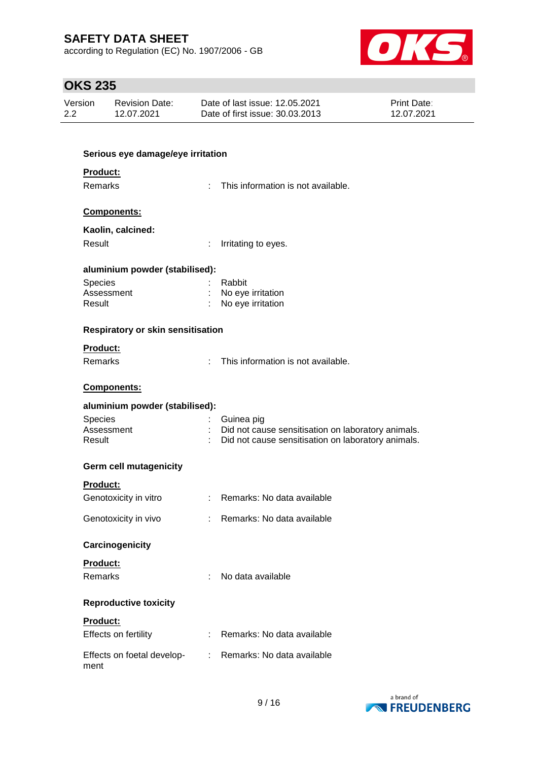according to Regulation (EC) No. 1907/2006 - GB



# **OKS 235**

| Version | <b>Revision Date:</b> | Date of last issue: 12.05.2021  | <b>Print Date:</b> |
|---------|-----------------------|---------------------------------|--------------------|
| 2.2     | 12.07.2021            | Date of first issue: 30.03.2013 | 12.07.2021         |

| Serious eye damage/eye irritation             |                                                          |
|-----------------------------------------------|----------------------------------------------------------|
| Product:                                      |                                                          |
| <b>Remarks</b><br>t.                          | This information is not available.                       |
| Components:                                   |                                                          |
| Kaolin, calcined:                             |                                                          |
| Result<br>÷.                                  | Irritating to eyes.                                      |
|                                               |                                                          |
| aluminium powder (stabilised):                |                                                          |
| Species<br>Assessment                         | Rabbit<br>No eye irritation                              |
| Result                                        | No eye irritation                                        |
|                                               |                                                          |
| <b>Respiratory or skin sensitisation</b>      |                                                          |
| <b>Product:</b>                               |                                                          |
| <b>Remarks</b><br>$\mathcal{L}^{\mathcal{L}}$ | This information is not available.                       |
|                                               |                                                          |
| Components:                                   |                                                          |
| aluminium powder (stabilised):                |                                                          |
| <b>Species</b>                                | Guinea pig                                               |
| Assessment                                    | : Did not cause sensitisation on laboratory animals.     |
| Result                                        | Did not cause sensitisation on laboratory animals.       |
| <b>Germ cell mutagenicity</b>                 |                                                          |
| <b>Product:</b>                               |                                                          |
| Genotoxicity in vitro                         | : Remarks: No data available                             |
|                                               |                                                          |
| Genotoxicity in vivo                          | Remarks: No data available<br>$\mathcal{L}^{\text{max}}$ |
| Carcinogenicity                               |                                                          |
|                                               |                                                          |
| Product:                                      |                                                          |
| Remarks                                       | No data available                                        |
| <b>Reproductive toxicity</b>                  |                                                          |
| Product:                                      |                                                          |
| Effects on fertility<br>÷.                    | Remarks: No data available                               |
|                                               |                                                          |
| Effects on foetal develop-<br>t.<br>ment      | Remarks: No data available                               |

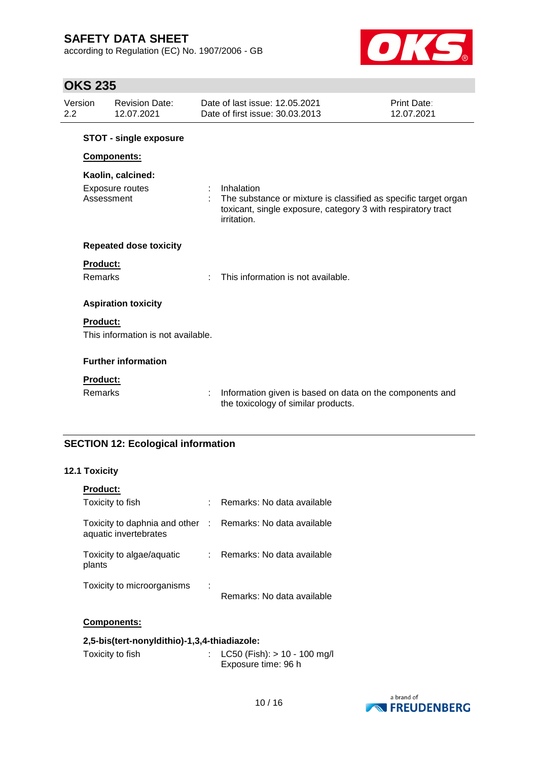according to Regulation (EC) No. 1907/2006 - GB



# **OKS 235**

| Version<br>2.2             | <b>Revision Date:</b><br>12.07.2021                       | Date of last issue: 12.05.2021<br>Date of first issue: 30.03.2013                                                                                            | Print Date:<br>12.07.2021 |
|----------------------------|-----------------------------------------------------------|--------------------------------------------------------------------------------------------------------------------------------------------------------------|---------------------------|
|                            | <b>STOT - single exposure</b>                             |                                                                                                                                                              |                           |
|                            | Components:                                               |                                                                                                                                                              |                           |
|                            | Kaolin, calcined:<br><b>Exposure routes</b><br>Assessment | Inhalation<br>The substance or mixture is classified as specific target organ<br>toxicant, single exposure, category 3 with respiratory tract<br>irritation. |                           |
|                            | <b>Repeated dose toxicity</b>                             |                                                                                                                                                              |                           |
| <b>Product:</b><br>Remarks |                                                           | This information is not available.                                                                                                                           |                           |
|                            | <b>Aspiration toxicity</b>                                |                                                                                                                                                              |                           |
| <b>Product:</b>            | This information is not available.                        |                                                                                                                                                              |                           |
|                            | <b>Further information</b>                                |                                                                                                                                                              |                           |
| <b>Product:</b><br>Remarks |                                                           | Information given is based on data on the components and<br>the toxicology of similar products.                                                              |                           |

### **SECTION 12: Ecological information**

### **12.1 Toxicity**

| <b>Product:</b>                                        |    |                              |
|--------------------------------------------------------|----|------------------------------|
| Toxicity to fish                                       |    | Remarks: No data available   |
| Toxicity to daphnia and other<br>aquatic invertebrates |    | : Remarks: No data available |
| Toxicity to algae/aquatic<br>plants                    | t. | Remarks: No data available   |
| Toxicity to microorganisms                             |    | Remarks: No data available   |

#### **Components:**

#### **2,5-bis(tert-nonyldithio)-1,3,4-thiadiazole:**

| Toxicity to fish | : LC50 (Fish): $> 10 - 100$ mg/l |
|------------------|----------------------------------|
|                  | Exposure time: 96 h              |

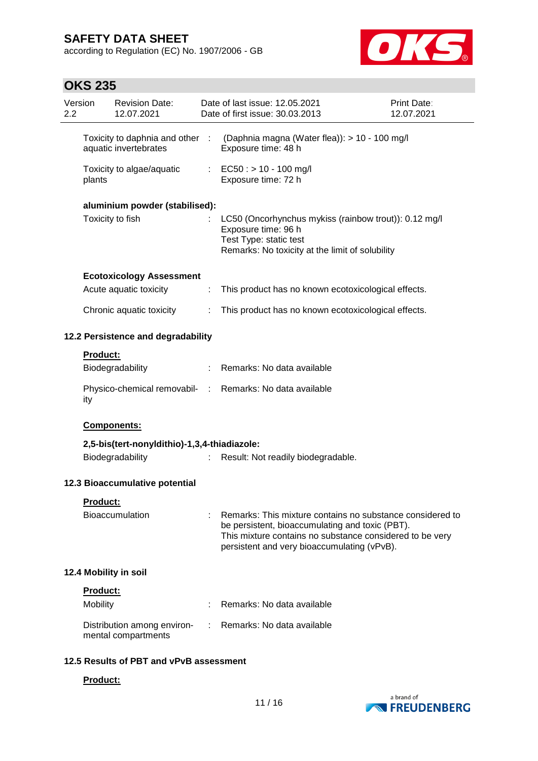according to Regulation (EC) No. 1907/2006 - GB



# **OKS 235**

| Version<br>2.2                                           |          | <b>Revision Date:</b><br>12.07.2021                       |                                                                      | Date of last issue: 12.05.2021<br>Date of first issue: 30.03.2013                                                                                                                                                       | Print Date:<br>12.07.2021 |
|----------------------------------------------------------|----------|-----------------------------------------------------------|----------------------------------------------------------------------|-------------------------------------------------------------------------------------------------------------------------------------------------------------------------------------------------------------------------|---------------------------|
| Toxicity to daphnia and other :<br>aquatic invertebrates |          |                                                           | (Daphnia magna (Water flea)): > 10 - 100 mg/l<br>Exposure time: 48 h |                                                                                                                                                                                                                         |                           |
|                                                          | plants   | Toxicity to algae/aquatic                                 |                                                                      | : EC50 : $> 10 - 100$ mg/l<br>Exposure time: 72 h                                                                                                                                                                       |                           |
|                                                          |          | aluminium powder (stabilised):                            |                                                                      |                                                                                                                                                                                                                         |                           |
|                                                          |          | Toxicity to fish                                          |                                                                      | LC50 (Oncorhynchus mykiss (rainbow trout)): 0.12 mg/l<br>Exposure time: 96 h<br>Test Type: static test<br>Remarks: No toxicity at the limit of solubility                                                               |                           |
|                                                          |          |                                                           |                                                                      |                                                                                                                                                                                                                         |                           |
|                                                          |          | <b>Ecotoxicology Assessment</b><br>Acute aquatic toxicity | ÷                                                                    | This product has no known ecotoxicological effects.                                                                                                                                                                     |                           |
|                                                          |          | Chronic aquatic toxicity                                  | ÷                                                                    | This product has no known ecotoxicological effects.                                                                                                                                                                     |                           |
|                                                          |          |                                                           |                                                                      |                                                                                                                                                                                                                         |                           |
|                                                          |          | 12.2 Persistence and degradability                        |                                                                      |                                                                                                                                                                                                                         |                           |
|                                                          | Product: |                                                           |                                                                      |                                                                                                                                                                                                                         |                           |
|                                                          |          | Biodegradability                                          |                                                                      | : Remarks: No data available                                                                                                                                                                                            |                           |
|                                                          | ity      |                                                           |                                                                      | Physico-chemical removabil- : Remarks: No data available                                                                                                                                                                |                           |
|                                                          |          | Components:                                               |                                                                      |                                                                                                                                                                                                                         |                           |
|                                                          |          | 2,5-bis(tert-nonyldithio)-1,3,4-thiadiazole:              |                                                                      |                                                                                                                                                                                                                         |                           |
|                                                          |          | Biodegradability                                          | ÷.                                                                   | Result: Not readily biodegradable.                                                                                                                                                                                      |                           |
|                                                          |          | 12.3 Bioaccumulative potential                            |                                                                      |                                                                                                                                                                                                                         |                           |
|                                                          | Product: |                                                           |                                                                      |                                                                                                                                                                                                                         |                           |
|                                                          |          | <b>Bioaccumulation</b>                                    |                                                                      | Remarks: This mixture contains no substance considered to<br>be persistent, bioaccumulating and toxic (PBT).<br>This mixture contains no substance considered to be very<br>persistent and very bioaccumulating (vPvB). |                           |
|                                                          |          | 12.4 Mobility in soil                                     |                                                                      |                                                                                                                                                                                                                         |                           |
|                                                          | Product: |                                                           |                                                                      |                                                                                                                                                                                                                         |                           |
|                                                          | Mobility |                                                           |                                                                      | Remarks: No data available                                                                                                                                                                                              |                           |
|                                                          |          | Distribution among environ-<br>mental compartments        |                                                                      | Remarks: No data available                                                                                                                                                                                              |                           |
|                                                          |          | 12.5 Results of PBT and vPvB assessment                   |                                                                      |                                                                                                                                                                                                                         |                           |
|                                                          | Product: |                                                           |                                                                      |                                                                                                                                                                                                                         |                           |

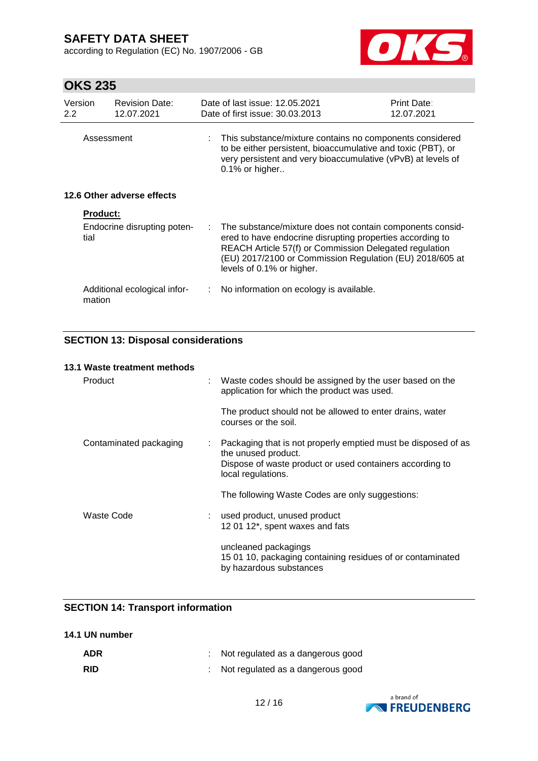according to Regulation (EC) No. 1907/2006 - GB



# **OKS 235**

| Version<br>$2.2^{\circ}$ |                            | <b>Revision Date:</b><br>12.07.2021 |    | Date of last issue: 12.05.2021<br>Date of first issue: 30.03.2013                                                                                                                                                                                                         | Print Date:<br>12.07.2021 |  |
|--------------------------|----------------------------|-------------------------------------|----|---------------------------------------------------------------------------------------------------------------------------------------------------------------------------------------------------------------------------------------------------------------------------|---------------------------|--|
|                          | Assessment                 |                                     |    | This substance/mixture contains no components considered<br>to be either persistent, bioaccumulative and toxic (PBT), or<br>very persistent and very bioaccumulative (vPvB) at levels of<br>$0.1\%$ or higher                                                             |                           |  |
|                          | 12.6 Other adverse effects |                                     |    |                                                                                                                                                                                                                                                                           |                           |  |
|                          | <b>Product:</b>            |                                     |    |                                                                                                                                                                                                                                                                           |                           |  |
|                          | tial                       | Endocrine disrupting poten-         | ÷. | The substance/mixture does not contain components consid-<br>ered to have endocrine disrupting properties according to<br>REACH Article 57(f) or Commission Delegated regulation<br>(EU) 2017/2100 or Commission Regulation (EU) 2018/605 at<br>levels of 0.1% or higher. |                           |  |
|                          | mation                     | Additional ecological infor-        |    | : No information on ecology is available.                                                                                                                                                                                                                                 |                           |  |

### **SECTION 13: Disposal considerations**

| 13.1 Waste treatment methods |                           |                                                                                                                                                                        |
|------------------------------|---------------------------|------------------------------------------------------------------------------------------------------------------------------------------------------------------------|
| Product                      |                           | Waste codes should be assigned by the user based on the<br>application for which the product was used.                                                                 |
|                              |                           | The product should not be allowed to enter drains, water<br>courses or the soil.                                                                                       |
| Contaminated packaging       | $\mathbb{Z}^{\mathbb{Z}}$ | Packaging that is not properly emptied must be disposed of as<br>the unused product.<br>Dispose of waste product or used containers according to<br>local regulations. |
|                              |                           | The following Waste Codes are only suggestions:                                                                                                                        |
| Waste Code                   |                           | used product, unused product<br>12 01 12*, spent waxes and fats                                                                                                        |
|                              |                           | uncleaned packagings<br>15 01 10, packaging containing residues of or contaminated<br>by hazardous substances                                                          |

### **SECTION 14: Transport information**

| 14.1 UN number |
|----------------|
|----------------|

| <b>ADR</b> | $\therefore$ Not regulated as a dangerous good |
|------------|------------------------------------------------|
| <b>RID</b> | : Not regulated as a dangerous good            |

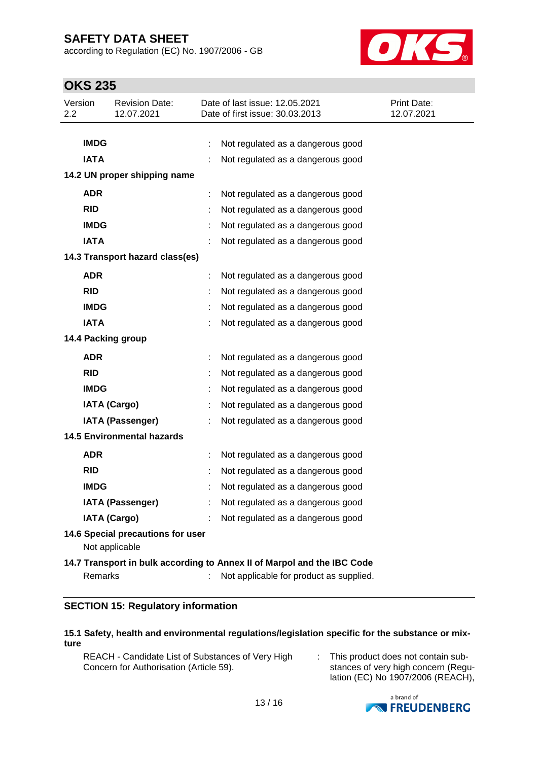according to Regulation (EC) No. 1907/2006 - GB



# **OKS 235**

| Version<br>2.2 | <b>Revision Date:</b><br>12.07.2021                 |   | Date of last issue: 12.05.2021<br>Date of first issue: 30.03.2013       | Print Date:<br>12.07.2021 |  |  |  |
|----------------|-----------------------------------------------------|---|-------------------------------------------------------------------------|---------------------------|--|--|--|
|                |                                                     |   |                                                                         |                           |  |  |  |
|                | <b>IMDG</b>                                         |   | Not regulated as a dangerous good                                       |                           |  |  |  |
| <b>IATA</b>    |                                                     |   | Not regulated as a dangerous good                                       |                           |  |  |  |
|                | 14.2 UN proper shipping name                        |   |                                                                         |                           |  |  |  |
| <b>ADR</b>     |                                                     | ÷ | Not regulated as a dangerous good                                       |                           |  |  |  |
| <b>RID</b>     |                                                     |   | Not regulated as a dangerous good                                       |                           |  |  |  |
|                | <b>IMDG</b>                                         |   | Not regulated as a dangerous good                                       |                           |  |  |  |
| <b>IATA</b>    |                                                     |   | Not regulated as a dangerous good                                       |                           |  |  |  |
|                | 14.3 Transport hazard class(es)                     |   |                                                                         |                           |  |  |  |
| <b>ADR</b>     |                                                     | t | Not regulated as a dangerous good                                       |                           |  |  |  |
| <b>RID</b>     |                                                     |   | Not regulated as a dangerous good                                       |                           |  |  |  |
|                | <b>IMDG</b>                                         |   | Not regulated as a dangerous good                                       |                           |  |  |  |
| <b>IATA</b>    |                                                     |   | Not regulated as a dangerous good                                       |                           |  |  |  |
|                | 14.4 Packing group                                  |   |                                                                         |                           |  |  |  |
| <b>ADR</b>     |                                                     | t | Not regulated as a dangerous good                                       |                           |  |  |  |
| <b>RID</b>     |                                                     | t | Not regulated as a dangerous good                                       |                           |  |  |  |
|                | <b>IMDG</b>                                         |   | Not regulated as a dangerous good                                       |                           |  |  |  |
|                | <b>IATA (Cargo)</b>                                 |   | Not regulated as a dangerous good                                       |                           |  |  |  |
|                | <b>IATA (Passenger)</b>                             |   | Not regulated as a dangerous good                                       |                           |  |  |  |
|                | <b>14.5 Environmental hazards</b>                   |   |                                                                         |                           |  |  |  |
| <b>ADR</b>     |                                                     |   | Not regulated as a dangerous good                                       |                           |  |  |  |
| <b>RID</b>     |                                                     |   | Not regulated as a dangerous good                                       |                           |  |  |  |
|                | <b>IMDG</b>                                         |   | Not regulated as a dangerous good                                       |                           |  |  |  |
|                | <b>IATA (Passenger)</b>                             |   | Not regulated as a dangerous good                                       |                           |  |  |  |
|                | <b>IATA (Cargo)</b>                                 |   | Not regulated as a dangerous good                                       |                           |  |  |  |
|                | 14.6 Special precautions for user<br>Not applicable |   |                                                                         |                           |  |  |  |
|                |                                                     |   | 14.7 Transport in bulk according to Annex II of Marpol and the IBC Code |                           |  |  |  |
|                | Remarks                                             |   | Not applicable for product as supplied.                                 |                           |  |  |  |

#### **SECTION 15: Regulatory information**

#### **15.1 Safety, health and environmental regulations/legislation specific for the substance or mixture**

- REACH Candidate List of Substances of Very High Concern for Authorisation (Article 59).
- : This product does not contain substances of very high concern (Regulation (EC) No 1907/2006 (REACH),

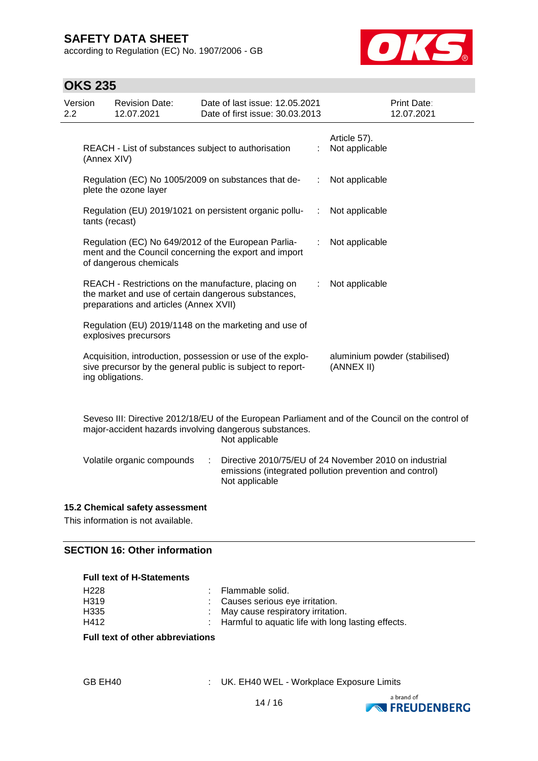according to Regulation (EC) No. 1907/2006 - GB



## **OKS 235**

| Version<br>$2.2^{\circ}$ |                | <b>Revision Date:</b><br>12.07.2021    | Date of last issue: 12.05.2021<br>Date of first issue: 30.03.2013                                                        |    | <b>Print Date:</b><br>12.07.2021            |
|--------------------------|----------------|----------------------------------------|--------------------------------------------------------------------------------------------------------------------------|----|---------------------------------------------|
|                          | (Annex XIV)    |                                        | REACH - List of substances subject to authorisation                                                                      | ÷  | Article 57).<br>Not applicable              |
|                          |                | plete the ozone layer                  | Regulation (EC) No 1005/2009 on substances that de-                                                                      | ÷. | Not applicable                              |
|                          | tants (recast) |                                        | Regulation (EU) 2019/1021 on persistent organic pollu-                                                                   | ÷. | Not applicable                              |
|                          |                | of dangerous chemicals                 | Regulation (EC) No 649/2012 of the European Parlia-<br>ment and the Council concerning the export and import             | ÷. | Not applicable                              |
|                          |                | preparations and articles (Annex XVII) | REACH - Restrictions on the manufacture, placing on<br>the market and use of certain dangerous substances,               | ÷. | Not applicable                              |
|                          |                | explosives precursors                  | Regulation (EU) 2019/1148 on the marketing and use of                                                                    |    |                                             |
|                          |                | ing obligations.                       | Acquisition, introduction, possession or use of the explo-<br>sive precursor by the general public is subject to report- |    | aluminium powder (stabilised)<br>(ANNEX II) |
|                          |                |                                        |                                                                                                                          |    |                                             |

Seveso III: Directive 2012/18/EU of the European Parliament and of the Council on the control of major-accident hazards involving dangerous substances. Not applicable

Volatile organic compounds : Directive 2010/75/EU of 24 November 2010 on industrial emissions (integrated pollution prevention and control) Not applicable

#### **15.2 Chemical safety assessment**

This information is not available.

#### **SECTION 16: Other information**

#### **Full text of H-Statements**

| H <sub>228</sub> | : Flammable solid.                                   |
|------------------|------------------------------------------------------|
| H319             | : Causes serious eye irritation.                     |
| H335             | : May cause respiratory irritation.                  |
| H412             | : Harmful to aquatic life with long lasting effects. |

#### **Full text of other abbreviations**

| GB EH40 |  |
|---------|--|
|---------|--|

: UK. EH40 WEL - Workplace Exposure Limits

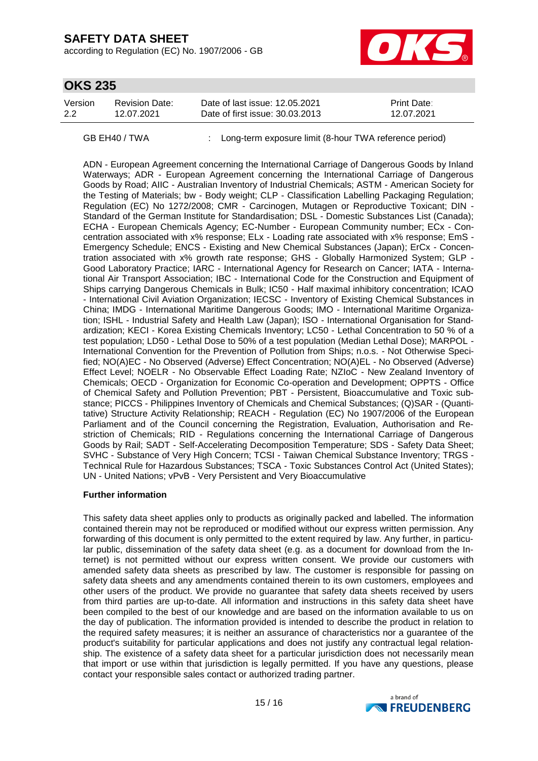according to Regulation (EC) No. 1907/2006 - GB



### **OKS 235**

| Version | Revision Date: | Date of last issue: 12.05.2021  | <b>Print Date:</b> |
|---------|----------------|---------------------------------|--------------------|
| -2.2    | 12.07.2021     | Date of first issue: 30.03.2013 | 12.07.2021         |

GB EH40 / TWA : Long-term exposure limit (8-hour TWA reference period)

ADN - European Agreement concerning the International Carriage of Dangerous Goods by Inland Waterways; ADR - European Agreement concerning the International Carriage of Dangerous Goods by Road; AIIC - Australian Inventory of Industrial Chemicals; ASTM - American Society for the Testing of Materials; bw - Body weight; CLP - Classification Labelling Packaging Regulation; Regulation (EC) No 1272/2008; CMR - Carcinogen, Mutagen or Reproductive Toxicant; DIN - Standard of the German Institute for Standardisation; DSL - Domestic Substances List (Canada); ECHA - European Chemicals Agency; EC-Number - European Community number; ECx - Concentration associated with x% response; ELx - Loading rate associated with x% response; EmS - Emergency Schedule; ENCS - Existing and New Chemical Substances (Japan); ErCx - Concentration associated with x% growth rate response; GHS - Globally Harmonized System; GLP - Good Laboratory Practice; IARC - International Agency for Research on Cancer; IATA - International Air Transport Association; IBC - International Code for the Construction and Equipment of Ships carrying Dangerous Chemicals in Bulk; IC50 - Half maximal inhibitory concentration; ICAO - International Civil Aviation Organization; IECSC - Inventory of Existing Chemical Substances in China; IMDG - International Maritime Dangerous Goods; IMO - International Maritime Organization; ISHL - Industrial Safety and Health Law (Japan); ISO - International Organisation for Standardization; KECI - Korea Existing Chemicals Inventory; LC50 - Lethal Concentration to 50 % of a test population; LD50 - Lethal Dose to 50% of a test population (Median Lethal Dose); MARPOL - International Convention for the Prevention of Pollution from Ships; n.o.s. - Not Otherwise Specified; NO(A)EC - No Observed (Adverse) Effect Concentration; NO(A)EL - No Observed (Adverse) Effect Level; NOELR - No Observable Effect Loading Rate; NZIoC - New Zealand Inventory of Chemicals; OECD - Organization for Economic Co-operation and Development; OPPTS - Office of Chemical Safety and Pollution Prevention; PBT - Persistent, Bioaccumulative and Toxic substance; PICCS - Philippines Inventory of Chemicals and Chemical Substances; (Q)SAR - (Quantitative) Structure Activity Relationship; REACH - Regulation (EC) No 1907/2006 of the European Parliament and of the Council concerning the Registration, Evaluation, Authorisation and Restriction of Chemicals; RID - Regulations concerning the International Carriage of Dangerous Goods by Rail; SADT - Self-Accelerating Decomposition Temperature; SDS - Safety Data Sheet; SVHC - Substance of Very High Concern; TCSI - Taiwan Chemical Substance Inventory; TRGS - Technical Rule for Hazardous Substances; TSCA - Toxic Substances Control Act (United States); UN - United Nations; vPvB - Very Persistent and Very Bioaccumulative

#### **Further information**

This safety data sheet applies only to products as originally packed and labelled. The information contained therein may not be reproduced or modified without our express written permission. Any forwarding of this document is only permitted to the extent required by law. Any further, in particular public, dissemination of the safety data sheet (e.g. as a document for download from the Internet) is not permitted without our express written consent. We provide our customers with amended safety data sheets as prescribed by law. The customer is responsible for passing on safety data sheets and any amendments contained therein to its own customers, employees and other users of the product. We provide no guarantee that safety data sheets received by users from third parties are up-to-date. All information and instructions in this safety data sheet have been compiled to the best of our knowledge and are based on the information available to us on the day of publication. The information provided is intended to describe the product in relation to the required safety measures; it is neither an assurance of characteristics nor a guarantee of the product's suitability for particular applications and does not justify any contractual legal relationship. The existence of a safety data sheet for a particular jurisdiction does not necessarily mean that import or use within that jurisdiction is legally permitted. If you have any questions, please contact your responsible sales contact or authorized trading partner.